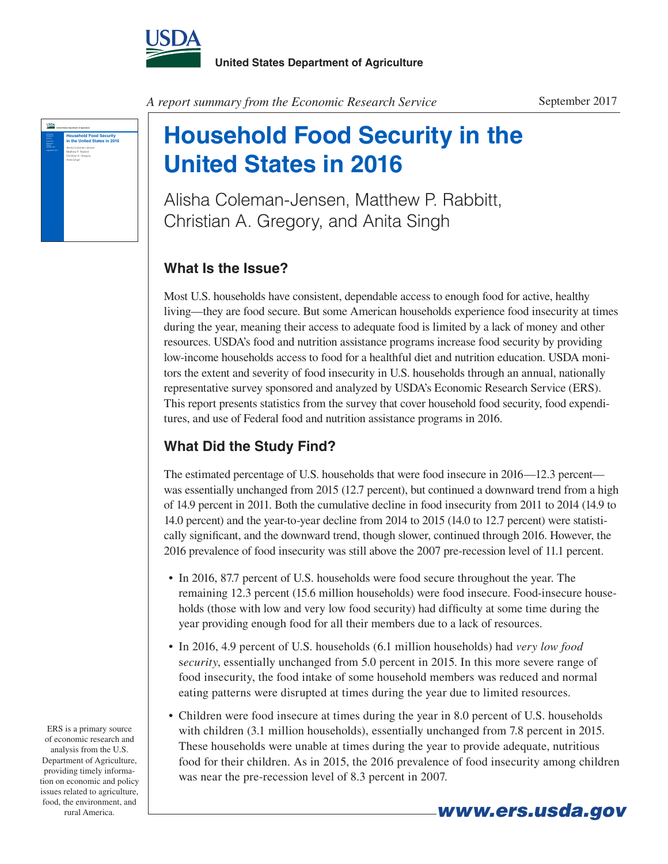



## **Household Food Security in the United States in 2016**

Alisha Coleman-Jensen, Matthew P. Rabbitt, Christian A. Gregory, and Anita Singh

## **What Is the Issue?**

Most U.S. households have consistent, dependable access to enough food for active, healthy living—they are food secure. But some American households experience food insecurity at times during the year, meaning their access to adequate food is limited by a lack of money and other resources. USDA's food and nutrition assistance programs increase food security by providing low-income households access to food for a healthful diet and nutrition education. USDA monitors the extent and severity of food insecurity in U.S. households through an annual, nationally representative survey sponsored and analyzed by USDA's Economic Research Service (ERS). This report presents statistics from the survey that cover household food security, food expenditures, and use of Federal food and nutrition assistance programs in 2016.

## **What Did the Study Find?**

The estimated percentage of U.S. households that were food insecure in 2016—12.3 percent was essentially unchanged from 2015 (12.7 percent), but continued a downward trend from a high of 14.9 percent in 2011. Both the cumulative decline in food insecurity from 2011 to 2014 (14.9 to 14.0 percent) and the year-to-year decline from 2014 to 2015 (14.0 to 12.7 percent) were statistically significant, and the downward trend, though slower, continued through 2016. However, the 2016 prevalence of food insecurity was still above the 2007 pre-recession level of 11.1 percent.

- In 2016, 87.7 percent of U.S. households were food secure throughout the year. The remaining 12.3 percent (15.6 million households) were food insecure. Food-insecure households (those with low and very low food security) had difficulty at some time during the year providing enough food for all their members due to a lack of resources.
- • In 2016, 4.9 percent of U.S. households (6.1 million households) had *very low food* s*ecurity*, essentially unchanged from 5.0 percent in 2015. In this more severe range of food insecurity, the food intake of some household members was reduced and normal eating patterns were disrupted at times during the year due to limited resources.
- Children were food insecure at times during the year in 8.0 percent of U.S. households with children (3.1 million households), essentially unchanged from 7.8 percent in 2015. These households were unable at times during the year to provide adequate, nutritious food for their children. As in 2015, the 2016 prevalence of food insecurity among children was near the pre-recession level of 8.3 percent in 2007.

*www.ers.usda.gov*

ERS is a primary source of economic research and analysis from the U.S. Department of Agriculture, providing timely information on economic and policy issues related to agriculture, food, the environment, and rural America.